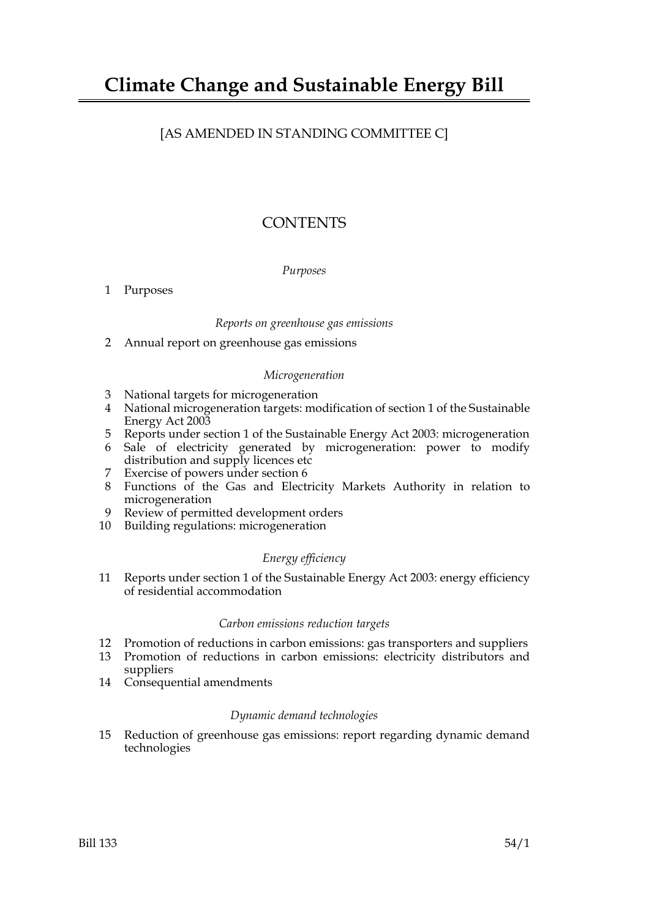# [AS AMENDED IN STANDING COMMITTEE C]

# **CONTENTS**

## *Purposes*

1 Purposes

## *Reports on greenhouse gas emissions*

2 Annual report on greenhouse gas emissions

## *Microgeneration*

- 3 National targets for microgeneration
- 4 National microgeneration targets: modification of section 1 of the Sustainable Energy Act 2003
- 5 Reports under section 1 of the Sustainable Energy Act 2003: microgeneration
- 6 Sale of electricity generated by microgeneration: power to modify distribution and supply licences etc
- 7 Exercise of powers under section 6
- 8 Functions of the Gas and Electricity Markets Authority in relation to microgeneration
- 9 Review of permitted development orders
- 10 Building regulations: microgeneration

## *Energy efficiency*

11 Reports under section 1 of the Sustainable Energy Act 2003: energy efficiency of residential accommodation

## *Carbon emissions reduction targets*

- 12 Promotion of reductions in carbon emissions: gas transporters and suppliers
- 13 Promotion of reductions in carbon emissions: electricity distributors and suppliers
- 14 Consequential amendments

## *Dynamic demand technologies*

15 Reduction of greenhouse gas emissions: report regarding dynamic demand technologies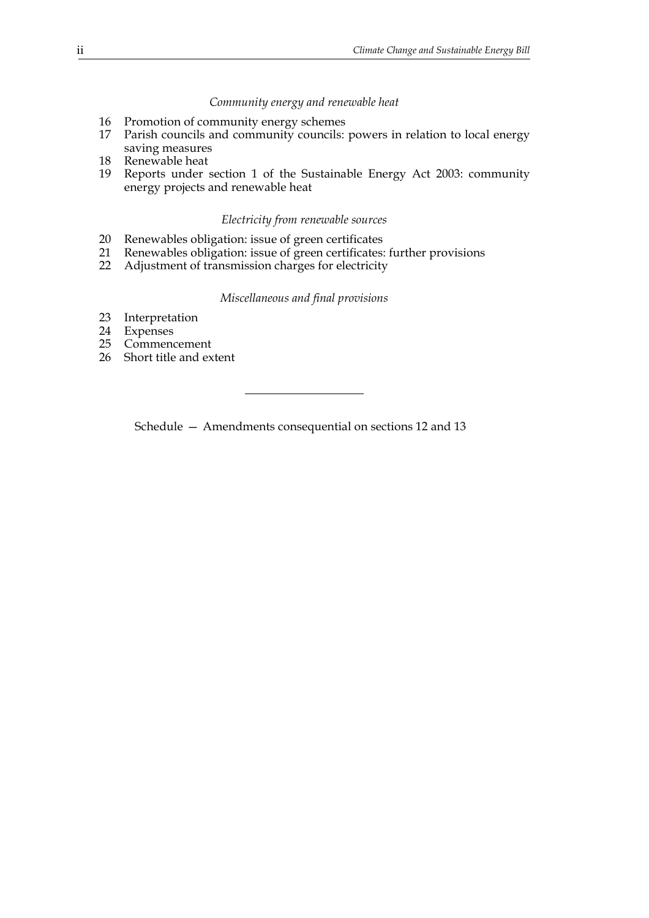#### *Community energy and renewable heat*

- 16 Promotion of community energy schemes
- 17 Parish councils and community councils: powers in relation to local energy saving measures
- 18 Renewable heat
- 19 Reports under section 1 of the Sustainable Energy Act 2003: community energy projects and renewable heat

#### *Electricity from renewable sources*

- 20 Renewables obligation: issue of green certificates
- 21 Renewables obligation: issue of green certificates: further provisions
- 22 Adjustment of transmission charges for electricity

#### *Miscellaneous and final provisions*

- 23 Interpretation
- 24 Expenses<br>25 Commend
- **Commencement**
- 26 Short title and extent

Schedule — Amendments consequential on sections 12 and 13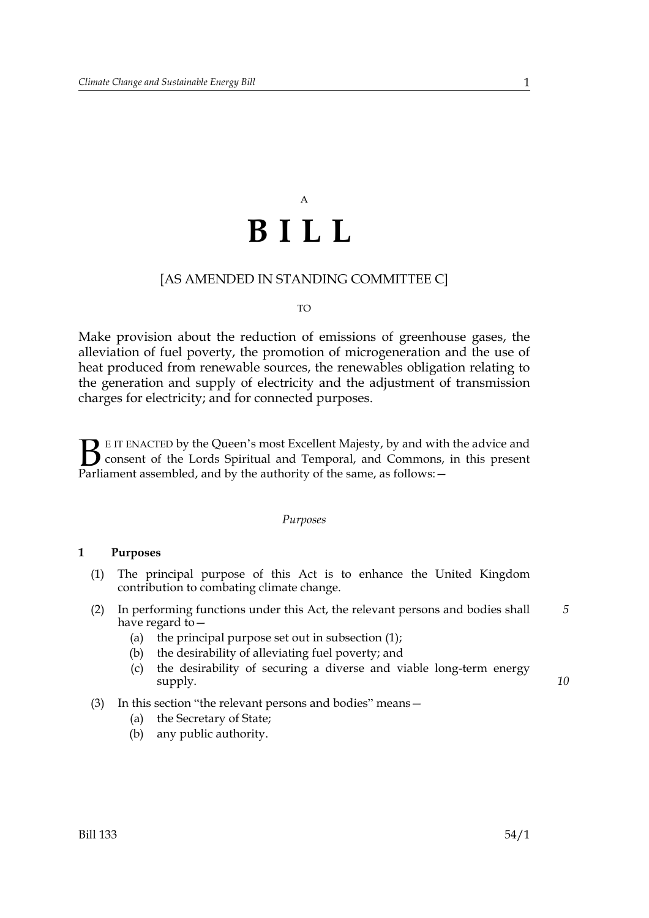# A **BILL**

## [AS AMENDED IN STANDING COMMITTEE C]

#### TO

Make provision about the reduction of emissions of greenhouse gases, the alleviation of fuel poverty, the promotion of microgeneration and the use of heat produced from renewable sources, the renewables obligation relating to the generation and supply of electricity and the adjustment of transmission charges for electricity; and for connected purposes.

E IT ENACTED by the Queen's most Excellent Majesty, by and with the advice and consent of the Lords Spiritual and Temporal, and Commons, in this present **B** E IT ENACTED by the Queen's most Excellent Majesty, by and with consent of the Lords Spiritual and Temporal, and Commons, Parliament assembled, and by the authority of the same, as follows:  $-$ 

#### *Purposes*

### **1 Purposes**

- (1) The principal purpose of this Act is to enhance the United Kingdom contribution to combating climate change.
- (2) In performing functions under this Act, the relevant persons and bodies shall have regard to— *5*
	- (a) the principal purpose set out in subsection (1);
	- (b) the desirability of alleviating fuel poverty; and
	- (c) the desirability of securing a diverse and viable long-term energy supply.
- (3) In this section "the relevant persons and bodies" means—
	- (a) the Secretary of State;
	- (b) any public authority.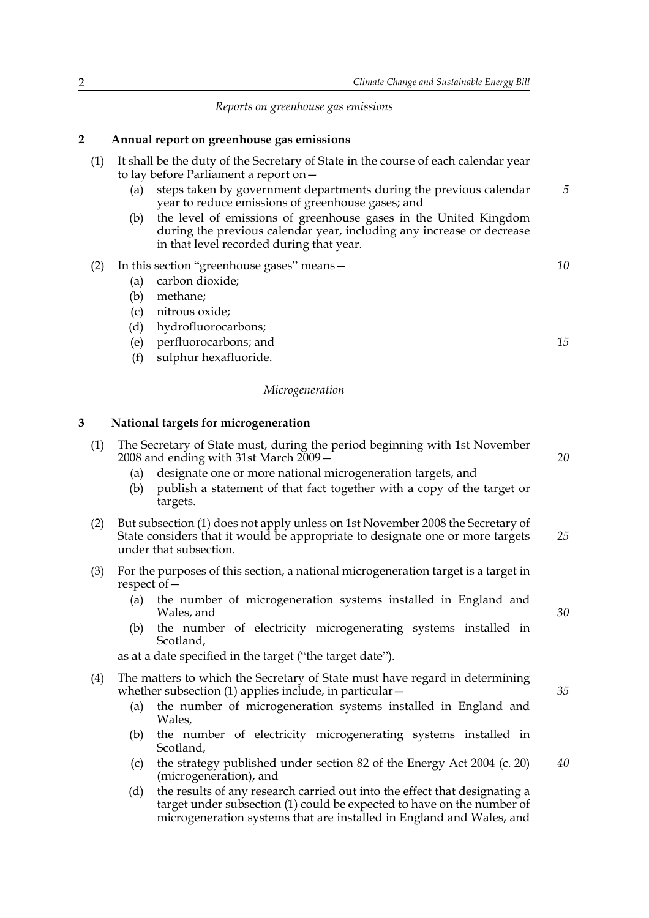*Reports on greenhouse gas emissions*

#### **2 Annual report on greenhouse gas emissions**

- (1) It shall be the duty of the Secretary of State in the course of each calendar year to lay before Parliament a report on—
	- (a) steps taken by government departments during the previous calendar year to reduce emissions of greenhouse gases; and
	- (b) the level of emissions of greenhouse gases in the United Kingdom during the previous calendar year, including any increase or decrease in that level recorded during that year.
- (2) In this section "greenhouse gases" means—
	- (a) carbon dioxide;
	- (b) methane;
	- (c) nitrous oxide;
	- (d) hydrofluorocarbons;
	- (e) perfluorocarbons; and
	- (f) sulphur hexafluoride.

#### *Microgeneration*

#### **3 National targets for microgeneration**

| (1) | The Secretary of State must, during the period beginning with 1st November<br>2008 and ending with 31st March 2009 -                                                                      |    |  |
|-----|-------------------------------------------------------------------------------------------------------------------------------------------------------------------------------------------|----|--|
|     | designate one or more national microgeneration targets, and<br>(a)<br>publish a statement of that fact together with a copy of the target or<br>(b)<br>targets.                           |    |  |
| (2) | But subsection (1) does not apply unless on 1st November 2008 the Secretary of<br>State considers that it would be appropriate to designate one or more targets<br>under that subsection. |    |  |
| (3) | For the purposes of this section, a national microgeneration target is a target in<br>respect of $-$                                                                                      |    |  |
|     | the number of microgeneration systems installed in England and<br>(a)<br>Wales, and                                                                                                       | 30 |  |
|     |                                                                                                                                                                                           |    |  |

(b) the number of electricity microgenerating systems installed in Scotland,

as at a date specified in the target ("the target date").

| (4) The matters to which the Secretary of State must have regard in determining |
|---------------------------------------------------------------------------------|
| whether subsection $(1)$ applies include, in particular $-$                     |

- (a) the number of microgeneration systems installed in England and Wales,
- (b) the number of electricity microgenerating systems installed in Scotland,
- (c) the strategy published under section 82 of the Energy Act 2004 (c. 20) (microgeneration), and *40*
- (d) the results of any research carried out into the effect that designating a target under subsection (1) could be expected to have on the number of microgeneration systems that are installed in England and Wales, and

*10*

*5*

*15*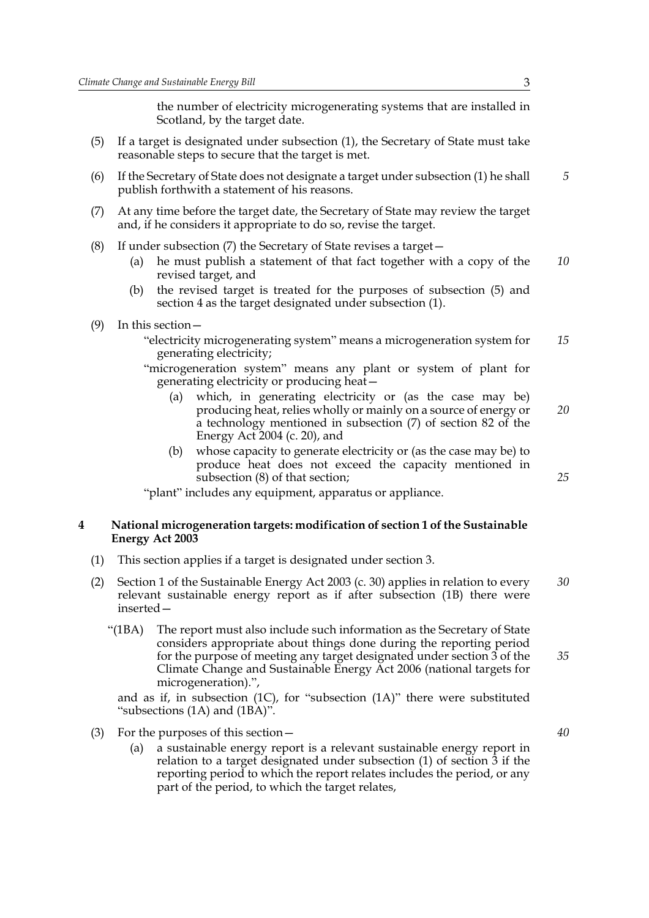the number of electricity microgenerating systems that are installed in Scotland, by the target date.

- (5) If a target is designated under subsection (1), the Secretary of State must take reasonable steps to secure that the target is met.
- (6) If the Secretary of State does not designate a target under subsection (1) he shall publish forthwith a statement of his reasons.
- (7) At any time before the target date, the Secretary of State may review the target and, if he considers it appropriate to do so, revise the target.
- (8) If under subsection (7) the Secretary of State revises a target—
	- (a) he must publish a statement of that fact together with a copy of the revised target, and *10*
	- (b) the revised target is treated for the purposes of subsection (5) and section 4 as the target designated under subsection (1).
- (9) In this section—
	- "electricity microgenerating system" means a microgeneration system for generating electricity; *15*
	- "microgeneration system" means any plant or system of plant for generating electricity or producing heat—
		- (a) which, in generating electricity or (as the case may be) producing heat, relies wholly or mainly on a source of energy or a technology mentioned in subsection (7) of section 82 of the Energy Act 2004 (c. 20), and *20*
		- (b) whose capacity to generate electricity or (as the case may be) to produce heat does not exceed the capacity mentioned in subsection (8) of that section;

"plant" includes any equipment, apparatus or appliance.

#### **4 National microgeneration targets: modification of section 1 of the Sustainable Energy Act 2003**

- (1) This section applies if a target is designated under section 3.
- (2) Section 1 of the Sustainable Energy Act 2003 (c. 30) applies in relation to every relevant sustainable energy report as if after subsection (1B) there were inserted— *30*
	- "(1BA) The report must also include such information as the Secretary of State considers appropriate about things done during the reporting period for the purpose of meeting any target designated under section 3 of the Climate Change and Sustainable Energy Act 2006 (national targets for microgeneration).", *35*

and as if, in subsection (1C), for "subsection (1A)" there were substituted "subsections (1A) and (1BA)".

- (3) For the purposes of this section—
	- (a) a sustainable energy report is a relevant sustainable energy report in relation to a target designated under subsection (1) of section 3 if the reporting period to which the report relates includes the period, or any part of the period, to which the target relates,

*5*

*25*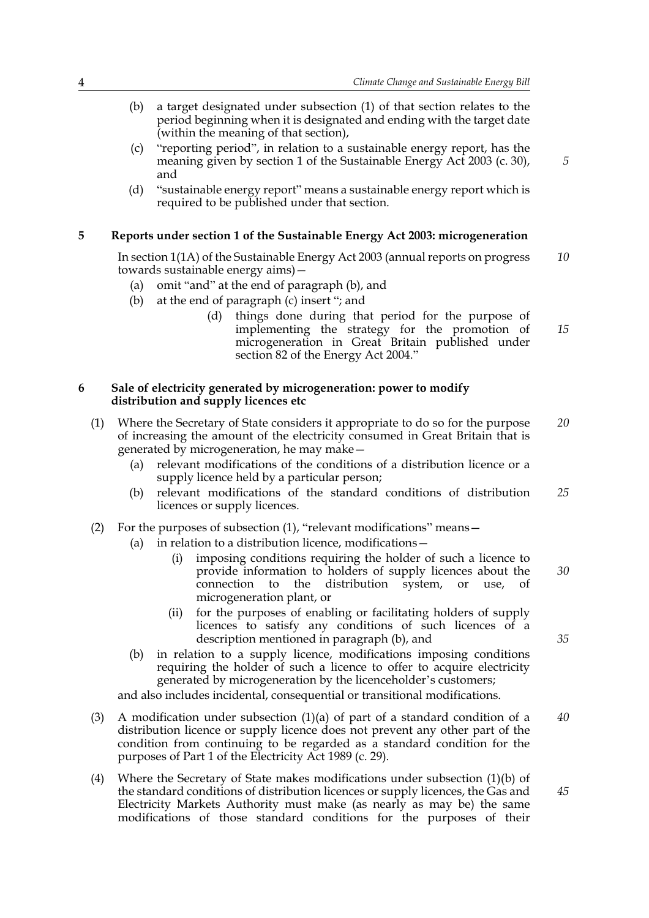- (b) a target designated under subsection (1) of that section relates to the period beginning when it is designated and ending with the target date (within the meaning of that section),
- (c) "reporting period", in relation to a sustainable energy report, has the meaning given by section 1 of the Sustainable Energy Act 2003 (c. 30), and
- (d) "sustainable energy report" means a sustainable energy report which is required to be published under that section.

#### **5 Reports under section 1 of the Sustainable Energy Act 2003: microgeneration**

In section 1(1A) of the Sustainable Energy Act 2003 (annual reports on progress towards sustainable energy aims)— *10*

- (a) omit "and" at the end of paragraph (b), and
- (b) at the end of paragraph (c) insert "; and
	- (d) things done during that period for the purpose of implementing the strategy for the promotion of microgeneration in Great Britain published under section 82 of the Energy Act 2004." *15*

#### **6 Sale of electricity generated by microgeneration: power to modify distribution and supply licences etc**

- (1) Where the Secretary of State considers it appropriate to do so for the purpose of increasing the amount of the electricity consumed in Great Britain that is generated by microgeneration, he may make— *20*
	- (a) relevant modifications of the conditions of a distribution licence or a supply licence held by a particular person;
	- (b) relevant modifications of the standard conditions of distribution licences or supply licences. *25*
- (2) For the purposes of subsection (1), "relevant modifications" means—
	- (a) in relation to a distribution licence, modifications—
		- (i) imposing conditions requiring the holder of such a licence to provide information to holders of supply licences about the connection to the distribution system, or use, of microgeneration plant, or
		- (ii) for the purposes of enabling or facilitating holders of supply licences to satisfy any conditions of such licences of a description mentioned in paragraph (b), and
	- (b) in relation to a supply licence, modifications imposing conditions requiring the holder of such a licence to offer to acquire electricity generated by microgeneration by the licenceholder's customers;

and also includes incidental, consequential or transitional modifications.

- (3) A modification under subsection (1)(a) of part of a standard condition of a distribution licence or supply licence does not prevent any other part of the condition from continuing to be regarded as a standard condition for the purposes of Part 1 of the Electricity Act 1989 (c. 29). *40*
- (4) Where the Secretary of State makes modifications under subsection (1)(b) of the standard conditions of distribution licences or supply licences, the Gas and Electricity Markets Authority must make (as nearly as may be) the same modifications of those standard conditions for the purposes of their

*5*

*35*

*45*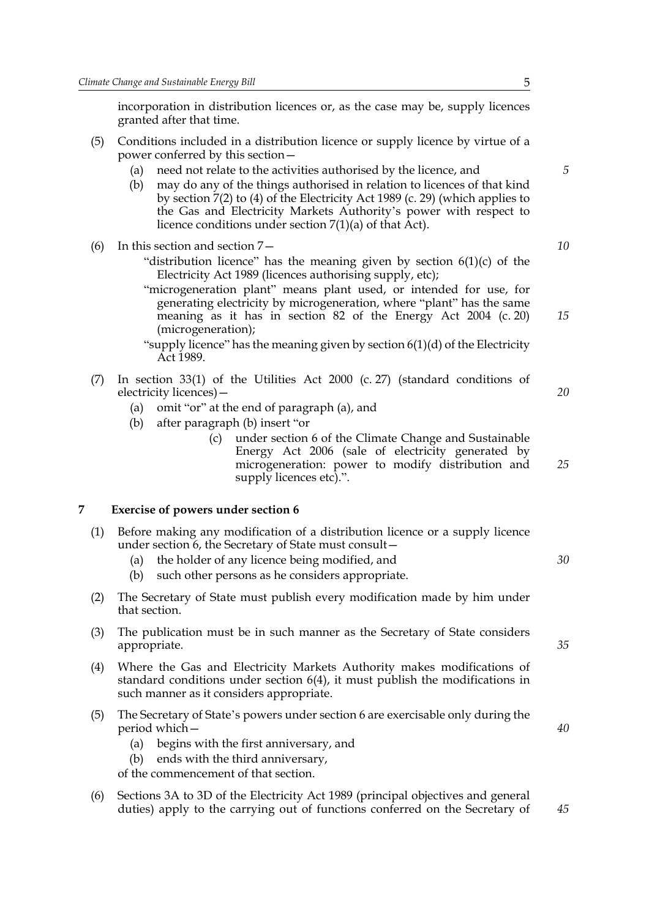incorporation in distribution licences or, as the case may be, supply licences granted after that time.

- (5) Conditions included in a distribution licence or supply licence by virtue of a power conferred by this section—
	- (a) need not relate to the activities authorised by the licence, and
	- (b) may do any of the things authorised in relation to licences of that kind by section 7(2) to (4) of the Electricity Act 1989 (c. 29) (which applies to the Gas and Electricity Markets Authority's power with respect to licence conditions under section 7(1)(a) of that Act).
- (6) In this section and section 7—
	- "distribution licence" has the meaning given by section  $6(1)(c)$  of the Electricity Act 1989 (licences authorising supply, etc);
	- "microgeneration plant" means plant used, or intended for use, for generating electricity by microgeneration, where "plant" has the same meaning as it has in section 82 of the Energy Act 2004 (c. 20) (microgeneration);
	- "supply licence" has the meaning given by section 6(1)(d) of the Electricity Act 1989.
- (7) In section 33(1) of the Utilities Act 2000 (c. 27) (standard conditions of electricity licences)—
	- (a) omit "or" at the end of paragraph (a), and
	- (b) after paragraph (b) insert "or
		- (c) under section 6 of the Climate Change and Sustainable Energy Act 2006 (sale of electricity generated by microgeneration: power to modify distribution and supply licences etc).".

#### **7 Exercise of powers under section 6**

- (1) Before making any modification of a distribution licence or a supply licence under section 6, the Secretary of State must consult—
	- (a) the holder of any licence being modified, and
	- (b) such other persons as he considers appropriate.
- (2) The Secretary of State must publish every modification made by him under that section.
- (3) The publication must be in such manner as the Secretary of State considers appropriate.
- (4) Where the Gas and Electricity Markets Authority makes modifications of standard conditions under section 6(4), it must publish the modifications in such manner as it considers appropriate.
- (5) The Secretary of State's powers under section 6 are exercisable only during the period which—
	- (a) begins with the first anniversary, and
	- (b) ends with the third anniversary,

of the commencement of that section.

(6) Sections 3A to 3D of the Electricity Act 1989 (principal objectives and general duties) apply to the carrying out of functions conferred on the Secretary of

*15*

*20*

*25*

*10*

*5*

*30*

*40*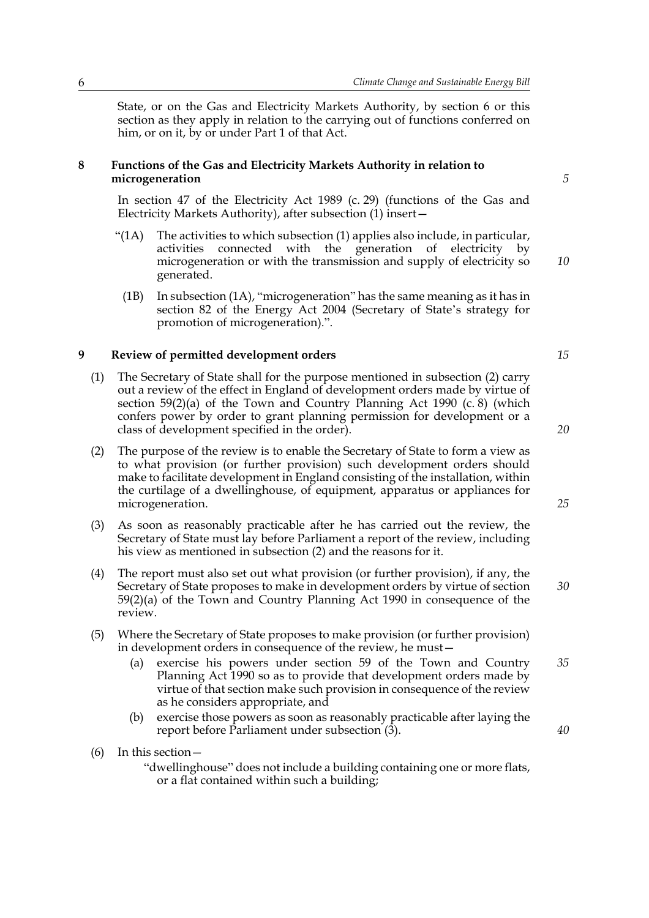State, or on the Gas and Electricity Markets Authority, by section 6 or this section as they apply in relation to the carrying out of functions conferred on him, or on it, by or under Part 1 of that Act.

#### **8 Functions of the Gas and Electricity Markets Authority in relation to microgeneration**

In section 47 of the Electricity Act 1989 (c. 29) (functions of the Gas and Electricity Markets Authority), after subsection (1) insert—

- "( $1A$ ) The activities to which subsection  $(1)$  applies also include, in particular, activities connected with the generation of electricity by microgeneration or with the transmission and supply of electricity so generated.
	- (1B) In subsection (1A), "microgeneration" has the same meaning as it has in section 82 of the Energy Act 2004 (Secretary of State's strategy for promotion of microgeneration).".

#### **9 Review of permitted development orders**

- (1) The Secretary of State shall for the purpose mentioned in subsection (2) carry out a review of the effect in England of development orders made by virtue of section  $59(2)(a)$  of the Town and Country Planning Act 1990 (c. 8) (which confers power by order to grant planning permission for development or a class of development specified in the order).
- (2) The purpose of the review is to enable the Secretary of State to form a view as to what provision (or further provision) such development orders should make to facilitate development in England consisting of the installation, within the curtilage of a dwellinghouse, of equipment, apparatus or appliances for microgeneration.
- (3) As soon as reasonably practicable after he has carried out the review, the Secretary of State must lay before Parliament a report of the review, including his view as mentioned in subsection (2) and the reasons for it.
- (4) The report must also set out what provision (or further provision), if any, the Secretary of State proposes to make in development orders by virtue of section 59(2)(a) of the Town and Country Planning Act 1990 in consequence of the review.
- (5) Where the Secretary of State proposes to make provision (or further provision) in development orders in consequence of the review, he must—
	- (a) exercise his powers under section 59 of the Town and Country Planning Act 1990 so as to provide that development orders made by virtue of that section make such provision in consequence of the review as he considers appropriate, and *35*
	- (b) exercise those powers as soon as reasonably practicable after laying the report before Parliament under subsection (3).
- (6) In this section—

"dwellinghouse" does not include a building containing one or more flats, or a flat contained within such a building;

*5*

*10*

*15*

*25*

*30*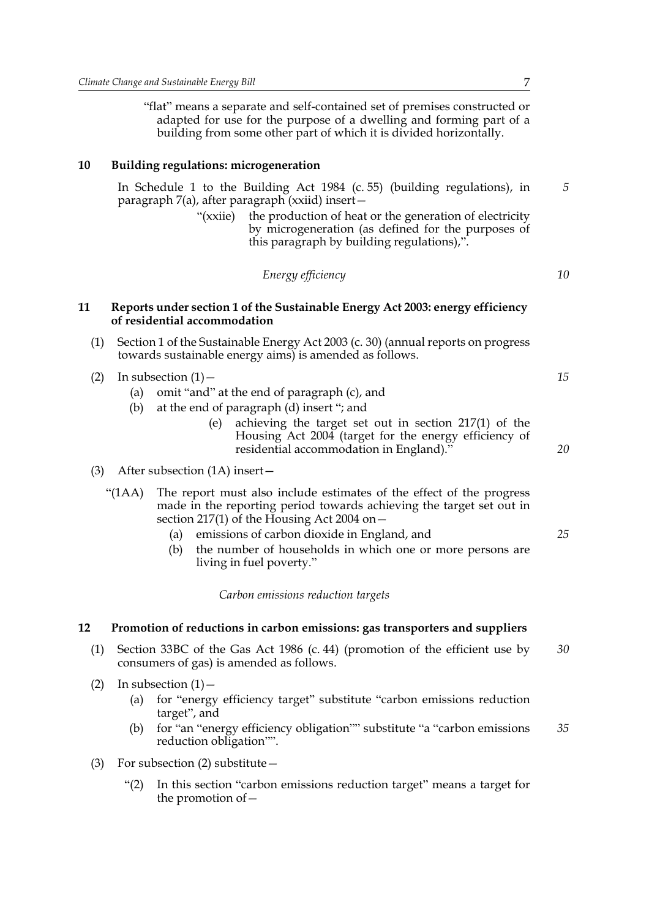"flat" means a separate and self-contained set of premises constructed or adapted for use for the purpose of a dwelling and forming part of a building from some other part of which it is divided horizontally.

#### **10 Building regulations: microgeneration**

In Schedule 1 to the Building Act 1984 (c. 55) (building regulations), in paragraph 7(a), after paragraph (xxiid) insert—

> "(xxiie) the production of heat or the generation of electricity by microgeneration (as defined for the purposes of this paragraph by building regulations),".

| Energy efficiency |  |
|-------------------|--|
|-------------------|--|

#### **11 Reports under section 1 of the Sustainable Energy Act 2003: energy efficiency of residential accommodation**

- (1) Section 1 of the Sustainable Energy Act 2003 (c. 30) (annual reports on progress towards sustainable energy aims) is amended as follows.
- (2) In subsection  $(1)$ 
	- (a) omit "and" at the end of paragraph (c), and
	- (b) at the end of paragraph (d) insert "; and
		- (e) achieving the target set out in section 217(1) of the Housing Act 2004 (target for the energy efficiency of residential accommodation in England)."
- (3) After subsection (1A) insert—
	- "(1AA) The report must also include estimates of the effect of the progress made in the reporting period towards achieving the target set out in section 217(1) of the Housing Act 2004 on $-$ 
		- (a) emissions of carbon dioxide in England, and
		- (b) the number of households in which one or more persons are living in fuel poverty."

*Carbon emissions reduction targets*

#### **12 Promotion of reductions in carbon emissions: gas transporters and suppliers**

- (1) Section 33BC of the Gas Act 1986 (c. 44) (promotion of the efficient use by consumers of gas) is amended as follows. *30*
- (2) In subsection  $(1)$ 
	- (a) for "energy efficiency target" substitute "carbon emissions reduction target", and
	- (b) for "an "energy efficiency obligation"" substitute "a "carbon emissions reduction obligation"". *35*
- (3) For subsection (2) substitute—
	- "(2) In this section "carbon emissions reduction target" means a target for the promotion of—

*10*

*5*

*15*

*20*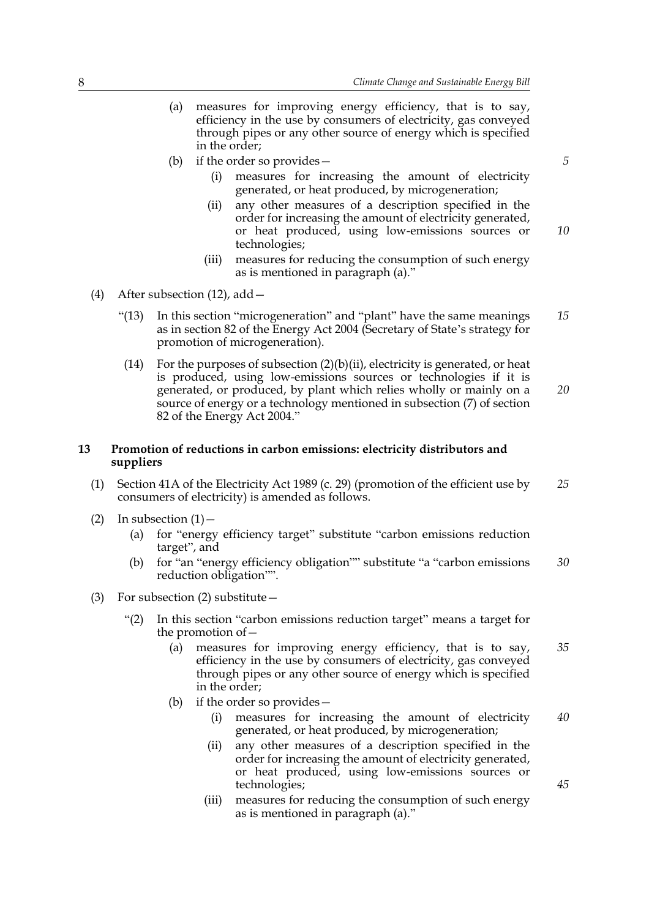- (a) measures for improving energy efficiency, that is to say, efficiency in the use by consumers of electricity, gas conveyed through pipes or any other source of energy which is specified in the order;
- (b) if the order so provides
	- measures for increasing the amount of electricity generated, or heat produced, by microgeneration;
	- (ii) any other measures of a description specified in the order for increasing the amount of electricity generated, or heat produced, using low-emissions sources or technologies; *10*
	- (iii) measures for reducing the consumption of such energy as is mentioned in paragraph (a)."
- (4) After subsection (12), add—
	- "(13) In this section "microgeneration" and "plant" have the same meanings as in section 82 of the Energy Act 2004 (Secretary of State's strategy for promotion of microgeneration). *15*
	- (14) For the purposes of subsection  $(2)(b)(ii)$ , electricity is generated, or heat is produced, using low-emissions sources or technologies if it is generated, or produced, by plant which relies wholly or mainly on a source of energy or a technology mentioned in subsection (7) of section 82 of the Energy Act 2004." *20*

#### **13 Promotion of reductions in carbon emissions: electricity distributors and suppliers**

- (1) Section 41A of the Electricity Act 1989 (c. 29) (promotion of the efficient use by consumers of electricity) is amended as follows. *25*
- (2) In subsection  $(1)$ 
	- (a) for "energy efficiency target" substitute "carbon emissions reduction target", and
	- (b) for "an "energy efficiency obligation"" substitute "a "carbon emissions reduction obligation"". *30*
- (3) For subsection (2) substitute—
	- "(2) In this section "carbon emissions reduction target" means a target for the promotion of—
		- (a) measures for improving energy efficiency, that is to say, efficiency in the use by consumers of electricity, gas conveyed through pipes or any other source of energy which is specified in the order; *35*
		- (b) if the order so provides—
			- (i) measures for increasing the amount of electricity generated, or heat produced, by microgeneration; *40*
			- (ii) any other measures of a description specified in the order for increasing the amount of electricity generated, or heat produced, using low-emissions sources or technologies;
			- (iii) measures for reducing the consumption of such energy as is mentioned in paragraph (a)."

*5*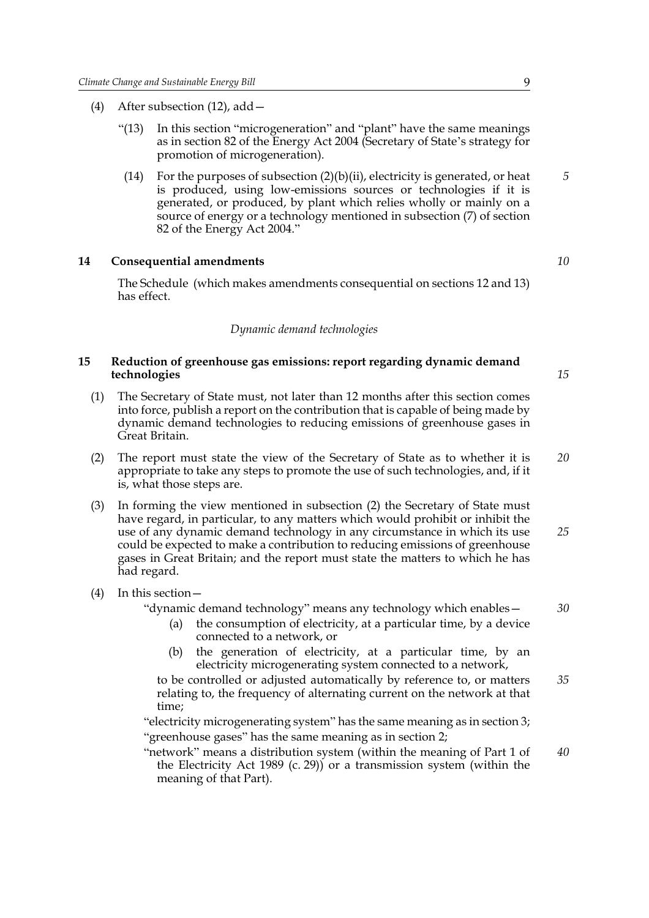- (4) After subsection (12), add—
	- "(13) In this section "microgeneration" and "plant" have the same meanings as in section 82 of the Energy Act 2004 (Secretary of State's strategy for promotion of microgeneration).
	- (14) For the purposes of subsection  $(2)(b)(ii)$ , electricity is generated, or heat is produced, using low-emissions sources or technologies if it is generated, or produced, by plant which relies wholly or mainly on a source of energy or a technology mentioned in subsection (7) of section 82 of the Energy Act 2004."

#### **14 Consequential amendments**

The Schedule (which makes amendments consequential on sections 12 and 13) has effect.

#### *Dynamic demand technologies*

## **15 Reduction of greenhouse gas emissions: report regarding dynamic demand technologies**

- (1) The Secretary of State must, not later than 12 months after this section comes into force, publish a report on the contribution that is capable of being made by dynamic demand technologies to reducing emissions of greenhouse gases in Great Britain.
- (2) The report must state the view of the Secretary of State as to whether it is appropriate to take any steps to promote the use of such technologies, and, if it is, what those steps are. *20*
- (3) In forming the view mentioned in subsection (2) the Secretary of State must have regard, in particular, to any matters which would prohibit or inhibit the use of any dynamic demand technology in any circumstance in which its use could be expected to make a contribution to reducing emissions of greenhouse gases in Great Britain; and the report must state the matters to which he has had regard. *25*
- (4) In this section—

#### "dynamic demand technology" means any technology which enables— *30*

- (a) the consumption of electricity, at a particular time, by a device connected to a network, or
- (b) the generation of electricity, at a particular time, by an electricity microgenerating system connected to a network,
- to be controlled or adjusted automatically by reference to, or matters relating to, the frequency of alternating current on the network at that time; *35*

"electricity microgenerating system" has the same meaning as in section 3; "greenhouse gases" has the same meaning as in section 2;

"network" means a distribution system (within the meaning of Part 1 of the Electricity Act 1989 (c. 29)) or a transmission system (within the meaning of that Part). *40*

*10*

*5*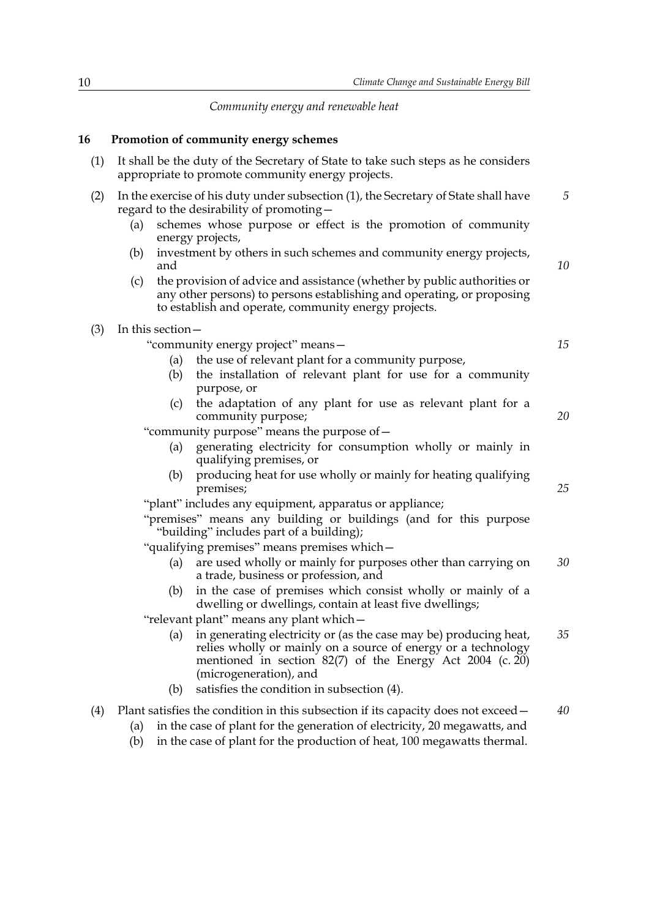*Community energy and renewable heat*

## **16 Promotion of community energy schemes**

| (1) | It shall be the duty of the Secretary of State to take such steps as he considers<br>appropriate to promote community energy projects. |                                                                                                                                                                                                                             |    |  |  |
|-----|----------------------------------------------------------------------------------------------------------------------------------------|-----------------------------------------------------------------------------------------------------------------------------------------------------------------------------------------------------------------------------|----|--|--|
| (2) |                                                                                                                                        | In the exercise of his duty under subsection (1), the Secretary of State shall have<br>regard to the desirability of promoting -                                                                                            | 5  |  |  |
|     | (a)                                                                                                                                    | schemes whose purpose or effect is the promotion of community                                                                                                                                                               |    |  |  |
|     |                                                                                                                                        | energy projects,<br>investment by others in such schemes and community energy projects,                                                                                                                                     |    |  |  |
|     | (b)<br>and                                                                                                                             |                                                                                                                                                                                                                             | 10 |  |  |
|     | (c)                                                                                                                                    | the provision of advice and assistance (whether by public authorities or<br>any other persons) to persons establishing and operating, or proposing<br>to establish and operate, community energy projects.                  |    |  |  |
| (3) | In this section-                                                                                                                       |                                                                                                                                                                                                                             |    |  |  |
|     |                                                                                                                                        | "community energy project" means-                                                                                                                                                                                           | 15 |  |  |
|     | (a)                                                                                                                                    | the use of relevant plant for a community purpose,                                                                                                                                                                          |    |  |  |
|     | (b)                                                                                                                                    | the installation of relevant plant for use for a community<br>purpose, or                                                                                                                                                   |    |  |  |
|     | (c)                                                                                                                                    | the adaptation of any plant for use as relevant plant for a<br>community purpose;                                                                                                                                           | 20 |  |  |
|     | "community purpose" means the purpose of -                                                                                             |                                                                                                                                                                                                                             |    |  |  |
|     | (a)                                                                                                                                    | generating electricity for consumption wholly or mainly in<br>qualifying premises, or                                                                                                                                       |    |  |  |
|     | (b)                                                                                                                                    | producing heat for use wholly or mainly for heating qualifying<br>premises;                                                                                                                                                 | 25 |  |  |
|     |                                                                                                                                        | "plant" includes any equipment, apparatus or appliance;                                                                                                                                                                     |    |  |  |
|     |                                                                                                                                        | "premises" means any building or buildings (and for this purpose<br>"building" includes part of a building);                                                                                                                |    |  |  |
|     |                                                                                                                                        | "qualifying premises" means premises which-                                                                                                                                                                                 |    |  |  |
|     | (a)                                                                                                                                    | are used wholly or mainly for purposes other than carrying on<br>a trade, business or profession, and                                                                                                                       | 30 |  |  |
|     | (b)                                                                                                                                    | in the case of premises which consist wholly or mainly of a<br>dwelling or dwellings, contain at least five dwellings;                                                                                                      |    |  |  |
|     |                                                                                                                                        | "relevant plant" means any plant which -                                                                                                                                                                                    |    |  |  |
|     | (a)                                                                                                                                    | in generating electricity or (as the case may be) producing heat,<br>relies wholly or mainly on a source of energy or a technology<br>mentioned in section $82(7)$ of the Energy Act 2004 (c. 20)<br>(microgeneration), and | 35 |  |  |
|     | (b)                                                                                                                                    | satisfies the condition in subsection (4).                                                                                                                                                                                  |    |  |  |
| (4) | (a)                                                                                                                                    | Plant satisfies the condition in this subsection if its capacity does not exceed –<br>in the case of plant for the generation of electricity, 20 megawatts, and                                                             | 40 |  |  |
|     |                                                                                                                                        |                                                                                                                                                                                                                             |    |  |  |

(b) in the case of plant for the production of heat, 100 megawatts thermal.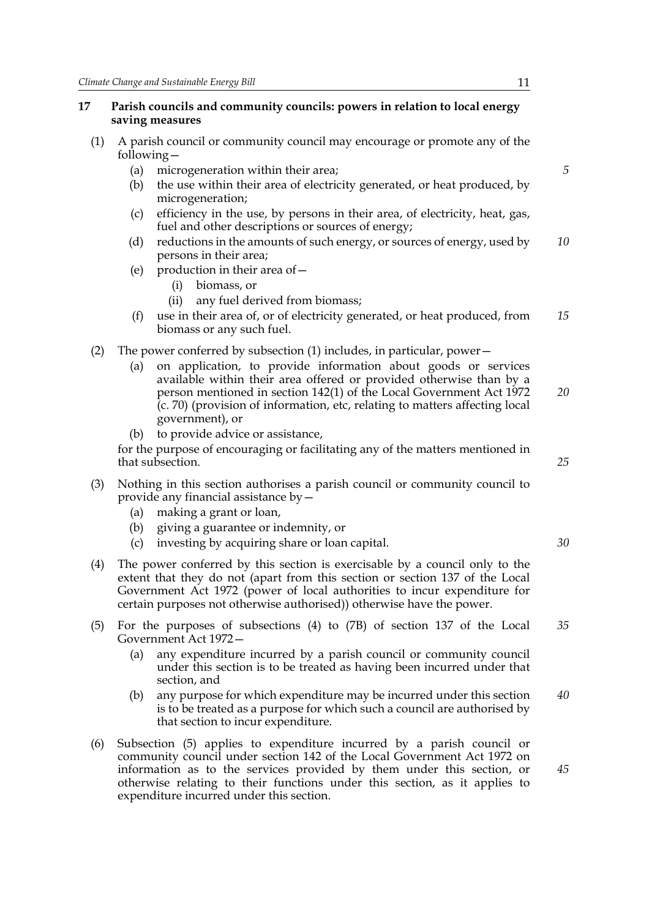#### **17 Parish councils and community councils: powers in relation to local energy saving measures**

- (1) A parish council or community council may encourage or promote any of the following—
	- (a) microgeneration within their area;
	- (b) the use within their area of electricity generated, or heat produced, by microgeneration;
	- (c) efficiency in the use, by persons in their area, of electricity, heat, gas, fuel and other descriptions or sources of energy;
	- (d) reductions in the amounts of such energy, or sources of energy, used by persons in their area; *10*
	- (e) production in their area of—
		- (i) biomass, or
		- (ii) any fuel derived from biomass;
	- (f) use in their area of, or of electricity generated, or heat produced, from biomass or any such fuel. *15*
- (2) The power conferred by subsection (1) includes, in particular, power—
	- (a) on application, to provide information about goods or services available within their area offered or provided otherwise than by a person mentioned in section 142(1) of the Local Government Act 1972 (c. 70) (provision of information, etc, relating to matters affecting local government), or *20*
	- to provide advice or assistance,

for the purpose of encouraging or facilitating any of the matters mentioned in that subsection.

- (3) Nothing in this section authorises a parish council or community council to provide any financial assistance by—
	- (a) making a grant or loan,
	- (b) giving a guarantee or indemnity, or
	- (c) investing by acquiring share or loan capital.
- (4) The power conferred by this section is exercisable by a council only to the extent that they do not (apart from this section or section 137 of the Local Government Act 1972 (power of local authorities to incur expenditure for certain purposes not otherwise authorised)) otherwise have the power.
- (5) For the purposes of subsections (4) to (7B) of section 137 of the Local Government Act 1972— *35*
	- (a) any expenditure incurred by a parish council or community council under this section is to be treated as having been incurred under that section, and
	- (b) any purpose for which expenditure may be incurred under this section is to be treated as a purpose for which such a council are authorised by that section to incur expenditure. *40*
- (6) Subsection (5) applies to expenditure incurred by a parish council or community council under section 142 of the Local Government Act 1972 on information as to the services provided by them under this section, or otherwise relating to their functions under this section, as it applies to expenditure incurred under this section.

*5*

*25*

*30*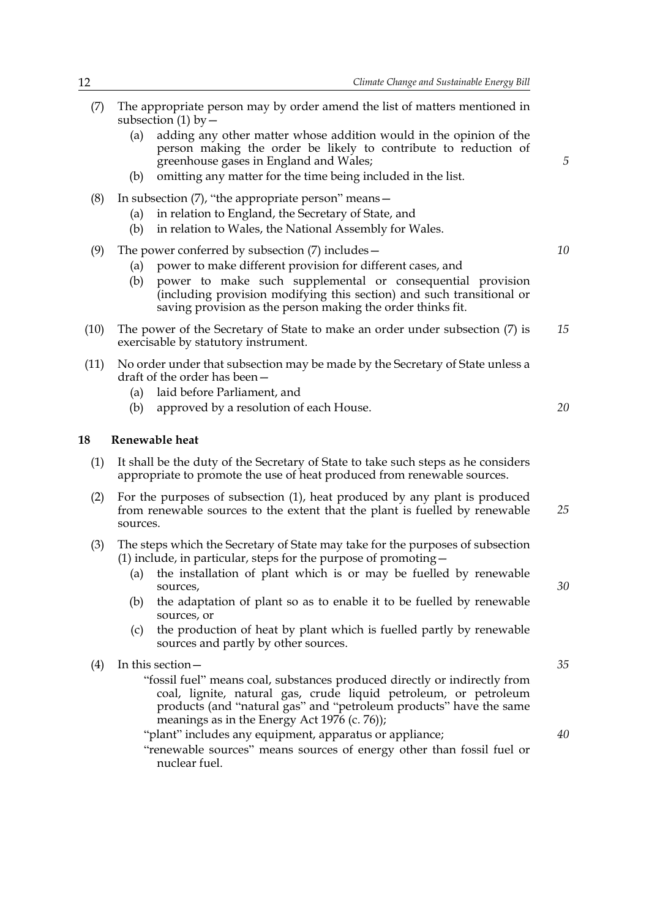- (7) The appropriate person may by order amend the list of matters mentioned in subsection  $(1)$  by  $-$ (a) adding any other matter whose addition would in the opinion of the person making the order be likely to contribute to reduction of greenhouse gases in England and Wales; (b) omitting any matter for the time being included in the list. (8) In subsection (7), "the appropriate person" means— (a) in relation to England, the Secretary of State, and (b) in relation to Wales, the National Assembly for Wales. (9) The power conferred by subsection (7) includes— (a) power to make different provision for different cases, and (b) power to make such supplemental or consequential provision (including provision modifying this section) and such transitional or saving provision as the person making the order thinks fit. (10) The power of the Secretary of State to make an order under subsection (7) is exercisable by statutory instrument. (11) No order under that subsection may be made by the Secretary of State unless a draft of the order has been— (a) laid before Parliament, and (b) approved by a resolution of each House. **18 Renewable heat** (1) It shall be the duty of the Secretary of State to take such steps as he considers appropriate to promote the use of heat produced from renewable sources. (2) For the purposes of subsection (1), heat produced by any plant is produced from renewable sources to the extent that the plant is fuelled by renewable sources. (3) The steps which the Secretary of State may take for the purposes of subsection (1) include, in particular, steps for the purpose of promoting— (a) the installation of plant which is or may be fuelled by renewable sources, (b) the adaptation of plant so as to enable it to be fuelled by renewable sources, or (c) the production of heat by plant which is fuelled partly by renewable sources and partly by other sources. (4) In this section— "fossil fuel" means coal, substances produced directly or indirectly from coal, lignite, natural gas, crude liquid petroleum, or petroleum *5 10 15 20 25 30 35*
	- products (and "natural gas" and "petroleum products" have the same meanings as in the Energy Act 1976 (c. 76));
	- "plant" includes any equipment, apparatus or appliance; "renewable sources" means sources of energy other than fossil fuel or nuclear fuel.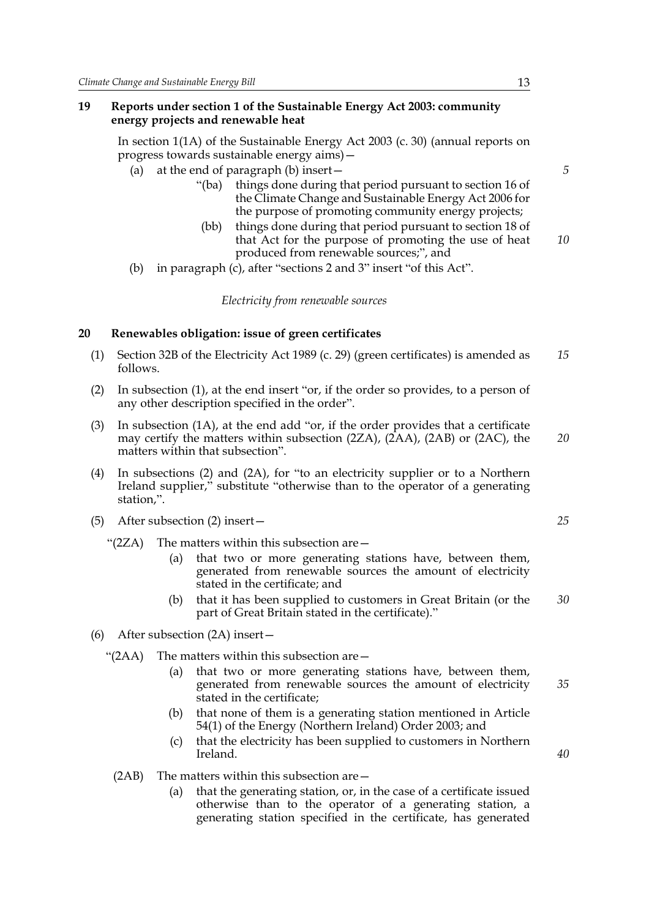#### **19 Reports under section 1 of the Sustainable Energy Act 2003: community energy projects and renewable heat**

In section 1(1A) of the Sustainable Energy Act 2003 (c. 30) (annual reports on progress towards sustainable energy aims)—

- (a) at the end of paragraph (b) insert—
	- "(ba) things done during that period pursuant to section 16 of the Climate Change and Sustainable Energy Act 2006 for the purpose of promoting community energy projects;
	- (bb) things done during that period pursuant to section 18 of that Act for the purpose of promoting the use of heat produced from renewable sources;", and *10*
- (b) in paragraph (c), after "sections 2 and 3" insert "of this Act".

#### *Electricity from renewable sources*

#### **20 Renewables obligation: issue of green certificates**

- (1) Section 32B of the Electricity Act 1989 (c. 29) (green certificates) is amended as follows. *15*
- (2) In subsection (1), at the end insert "or, if the order so provides, to a person of any other description specified in the order".
- (3) In subsection (1A), at the end add "or, if the order provides that a certificate may certify the matters within subsection (2ZA), (2AA), (2AB) or (2AC), the matters within that subsection". *20*
- (4) In subsections (2) and (2A), for "to an electricity supplier or to a Northern Ireland supplier," substitute "otherwise than to the operator of a generating station,".
- (5) After subsection (2) insert—
	- " $(2ZA)$  The matters within this subsection are  $-$ 
		- (a) that two or more generating stations have, between them, generated from renewable sources the amount of electricity stated in the certificate; and
		- (b) that it has been supplied to customers in Great Britain (or the part of Great Britain stated in the certificate)." *30*
- (6) After subsection (2A) insert—
	- "(2AA) The matters within this subsection are—
		- (a) that two or more generating stations have, between them, generated from renewable sources the amount of electricity stated in the certificate;
		- (b) that none of them is a generating station mentioned in Article 54(1) of the Energy (Northern Ireland) Order 2003; and
		- (c) that the electricity has been supplied to customers in Northern Ireland.
		- (2AB) The matters within this subsection are—
			- (a) that the generating station, or, in the case of a certificate issued otherwise than to the operator of a generating station, a generating station specified in the certificate, has generated

*5*

*25*

*35*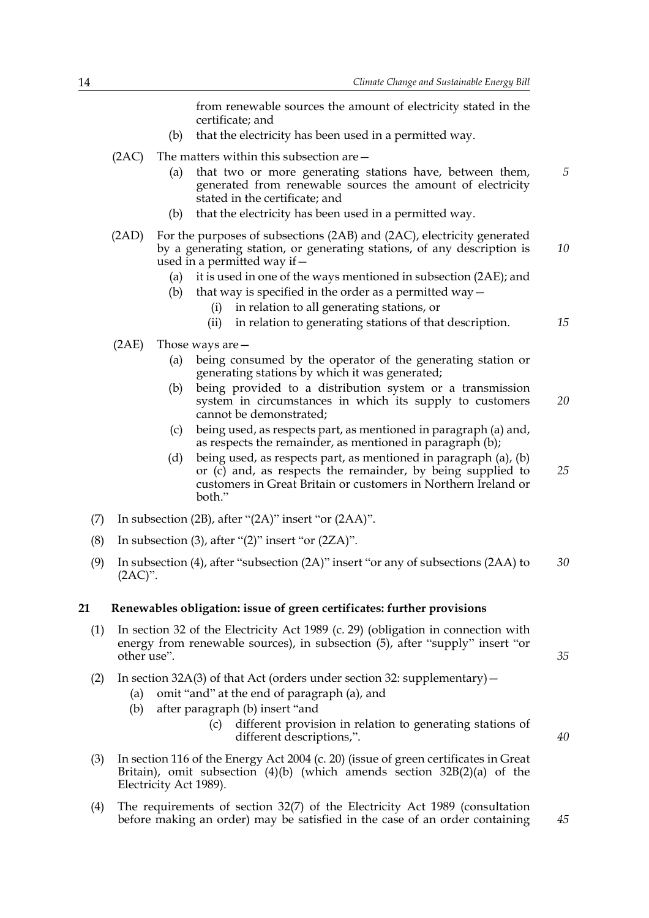from renewable sources the amount of electricity stated in the certificate; and

- (b) that the electricity has been used in a permitted way.
- (2AC) The matters within this subsection are—
	- (a) that two or more generating stations have, between them, generated from renewable sources the amount of electricity stated in the certificate; and
	- (b) that the electricity has been used in a permitted way.
- (2AD) For the purposes of subsections (2AB) and (2AC), electricity generated by a generating station, or generating stations, of any description is used in a permitted way if— *10*
	- (a) it is used in one of the ways mentioned in subsection (2AE); and
	- (b) that way is specified in the order as a permitted way  $-$ 
		- (i) in relation to all generating stations, or
		- (ii) in relation to generating stations of that description.
- (2AE) Those ways are—
	- (a) being consumed by the operator of the generating station or generating stations by which it was generated;
	- (b) being provided to a distribution system or a transmission system in circumstances in which its supply to customers cannot be demonstrated; *20*
	- (c) being used, as respects part, as mentioned in paragraph (a) and, as respects the remainder, as mentioned in paragraph (b);
	- (d) being used, as respects part, as mentioned in paragraph (a), (b) or (c) and, as respects the remainder, by being supplied to customers in Great Britain or customers in Northern Ireland or both." *25*
- (7) In subsection (2B), after "(2A)" insert "or (2AA)".
- (8) In subsection (3), after " $(2)$ " insert "or  $(2ZA)$ ".
- (9) In subsection (4), after "subsection (2A)" insert "or any of subsections (2AA) to  $(2AC)$ ". *30*

#### **21 Renewables obligation: issue of green certificates: further provisions**

(1) In section 32 of the Electricity Act 1989 (c. 29) (obligation in connection with energy from renewable sources), in subsection (5), after "supply" insert "or other use".

(2) In section  $32A(3)$  of that Act (orders under section 32: supplementary) –

- (a) omit "and" at the end of paragraph (a), and
- (b) after paragraph (b) insert "and
	- (c) different provision in relation to generating stations of different descriptions,".
- (3) In section 116 of the Energy Act 2004 (c. 20) (issue of green certificates in Great Britain), omit subsection (4)(b) (which amends section 32B(2)(a) of the Electricity Act 1989).
- (4) The requirements of section 32(7) of the Electricity Act 1989 (consultation before making an order) may be satisfied in the case of an order containing

*40*

*35*

*15*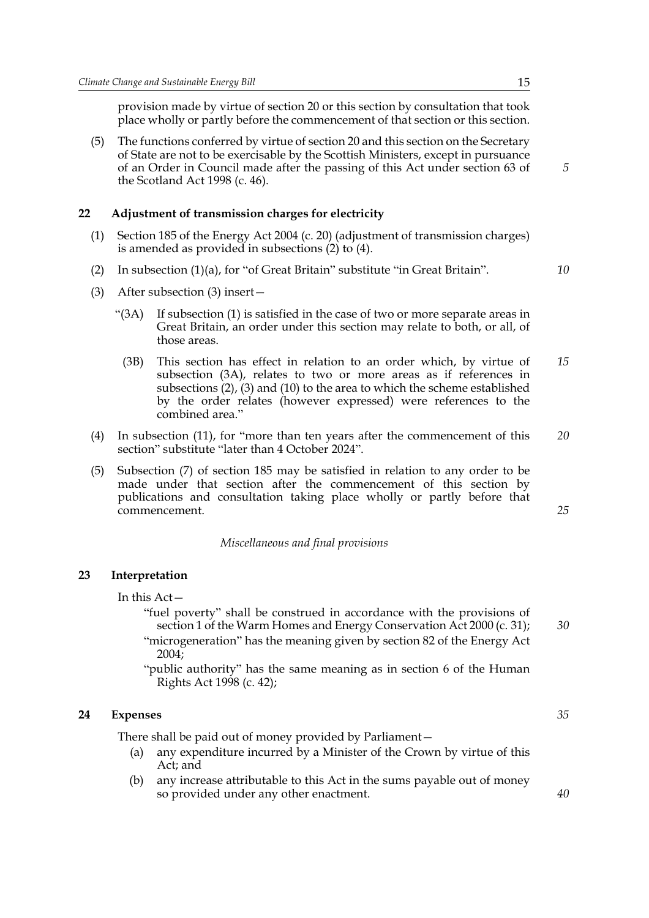provision made by virtue of section 20 or this section by consultation that took place wholly or partly before the commencement of that section or this section.

(5) The functions conferred by virtue of section 20 and this section on the Secretary of State are not to be exercisable by the Scottish Ministers, except in pursuance of an Order in Council made after the passing of this Act under section 63 of the Scotland Act 1998 (c. 46).

#### **22 Adjustment of transmission charges for electricity**

- (1) Section 185 of the Energy Act 2004 (c. 20) (adjustment of transmission charges) is amended as provided in subsections (2) to (4).
- (2) In subsection (1)(a), for "of Great Britain" substitute "in Great Britain".
- (3) After subsection (3) insert—
	- "(3A) If subsection (1) is satisfied in the case of two or more separate areas in Great Britain, an order under this section may relate to both, or all, of those areas.
	- (3B) This section has effect in relation to an order which, by virtue of subsection (3A), relates to two or more areas as if references in subsections (2), (3) and (10) to the area to which the scheme established by the order relates (however expressed) were references to the combined area." *15*
- (4) In subsection (11), for "more than ten years after the commencement of this section" substitute "later than 4 October 2024". *20*
- (5) Subsection (7) of section 185 may be satisfied in relation to any order to be made under that section after the commencement of this section by publications and consultation taking place wholly or partly before that commencement.

#### *Miscellaneous and final provisions*

#### **23 Interpretation**

In this Act—

- "fuel poverty" shall be construed in accordance with the provisions of section 1 of the Warm Homes and Energy Conservation Act 2000 (c. 31); "microgeneration" has the meaning given by section 82 of the Energy Act 2004;
- "public authority" has the same meaning as in section 6 of the Human Rights Act 1998 (c. 42);

#### **24 Expenses**

There shall be paid out of money provided by Parliament—

- (a) any expenditure incurred by a Minister of the Crown by virtue of this Act; and
- (b) any increase attributable to this Act in the sums payable out of money so provided under any other enactment.

*5*

*10*

*35*

*30*

*25*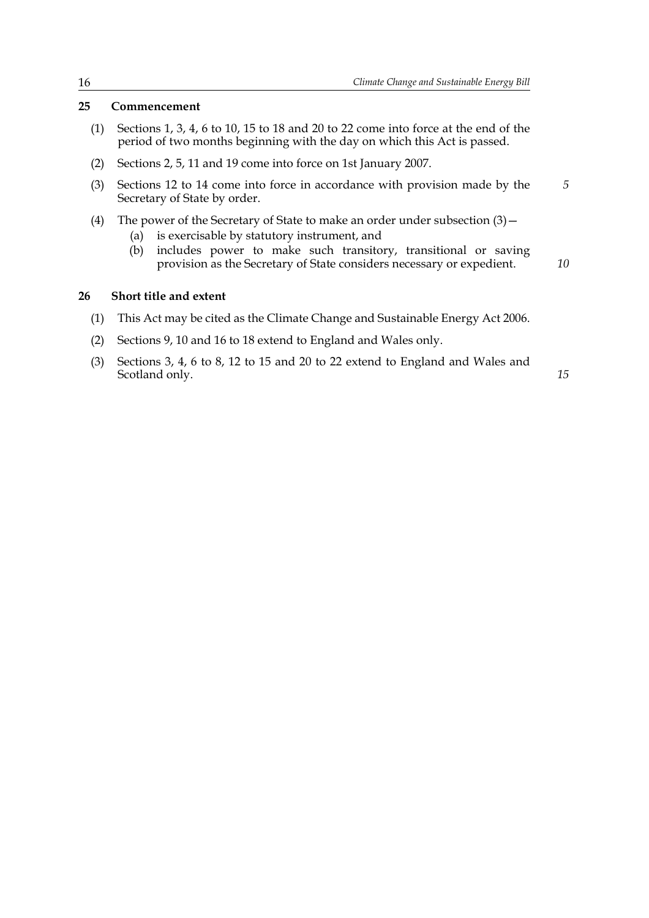#### **25 Commencement**

- (1) Sections 1, 3, 4, 6 to 10, 15 to 18 and 20 to 22 come into force at the end of the period of two months beginning with the day on which this Act is passed.
- (2) Sections 2, 5, 11 and 19 come into force on 1st January 2007.
- (3) Sections 12 to 14 come into force in accordance with provision made by the Secretary of State by order.
- (4) The power of the Secretary of State to make an order under subsection  $(3)$  -
	- (a) is exercisable by statutory instrument, and
	- (b) includes power to make such transitory, transitional or saving provision as the Secretary of State considers necessary or expedient.

*10*

*5*

## **26 Short title and extent**

- (1) This Act may be cited as the Climate Change and Sustainable Energy Act 2006.
- (2) Sections 9, 10 and 16 to 18 extend to England and Wales only.
- (3) Sections 3, 4, 6 to 8, 12 to 15 and 20 to 22 extend to England and Wales and Scotland only.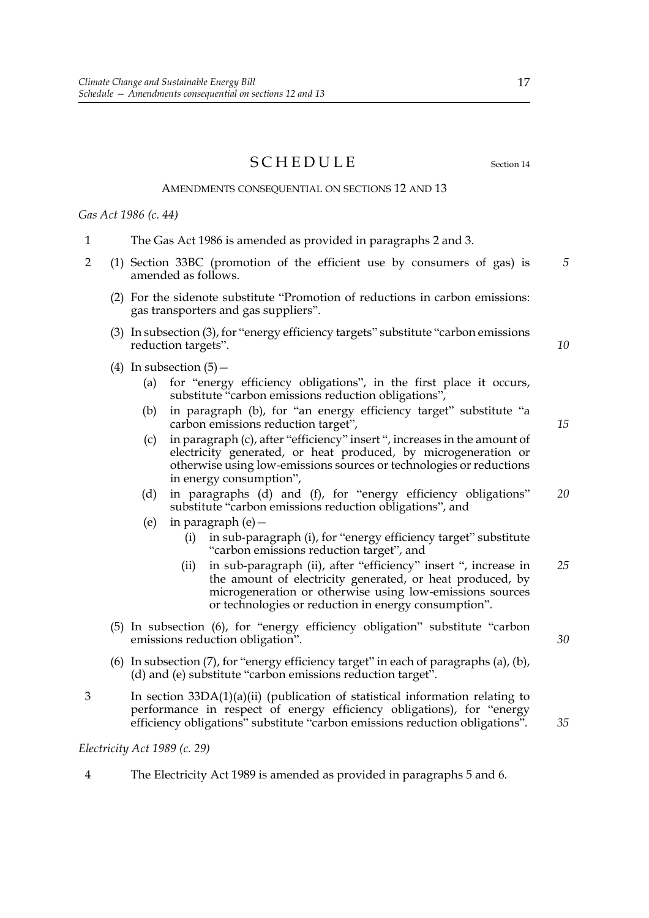SCHEDULE Section 14

#### AMENDMENTS CONSEQUENTIAL ON SECTIONS 12 AND 13

*Gas Act 1986 (c. 44)*

- 1 The Gas Act 1986 is amended as provided in paragraphs 2 and 3.
- 2 (1) Section 33BC (promotion of the efficient use by consumers of gas) is amended as follows.
	- (2) For the sidenote substitute "Promotion of reductions in carbon emissions: gas transporters and gas suppliers".
	- (3) In subsection (3), for "energy efficiency targets" substitute "carbon emissions reduction targets".
	- (4) In subsection  $(5)$ 
		- (a) for "energy efficiency obligations", in the first place it occurs, substitute "carbon emissions reduction obligations",
		- (b) in paragraph (b), for "an energy efficiency target" substitute "a carbon emissions reduction target",
		- (c) in paragraph (c), after "efficiency" insert ", increases in the amount of electricity generated, or heat produced, by microgeneration or otherwise using low-emissions sources or technologies or reductions in energy consumption",
		- (d) in paragraphs (d) and (f), for "energy efficiency obligations" substitute "carbon emissions reduction obligations", and *20*
		- (e) in paragraph (e)—
			- (i) in sub-paragraph (i), for "energy efficiency target" substitute "carbon emissions reduction target", and
			- (ii) in sub-paragraph (ii), after "efficiency" insert ", increase in the amount of electricity generated, or heat produced, by microgeneration or otherwise using low-emissions sources or technologies or reduction in energy consumption". *25*
	- (5) In subsection (6), for "energy efficiency obligation" substitute "carbon emissions reduction obligation".
	- (6) In subsection (7), for "energy efficiency target" in each of paragraphs (a), (b), (d) and (e) substitute "carbon emissions reduction target".
- 3 In section 33DA(1)(a)(ii) (publication of statistical information relating to performance in respect of energy efficiency obligations), for "energy efficiency obligations" substitute "carbon emissions reduction obligations".

*Electricity Act 1989 (c. 29)*

4 The Electricity Act 1989 is amended as provided in paragraphs 5 and 6.

*30*

17

*5*

*10*

*15*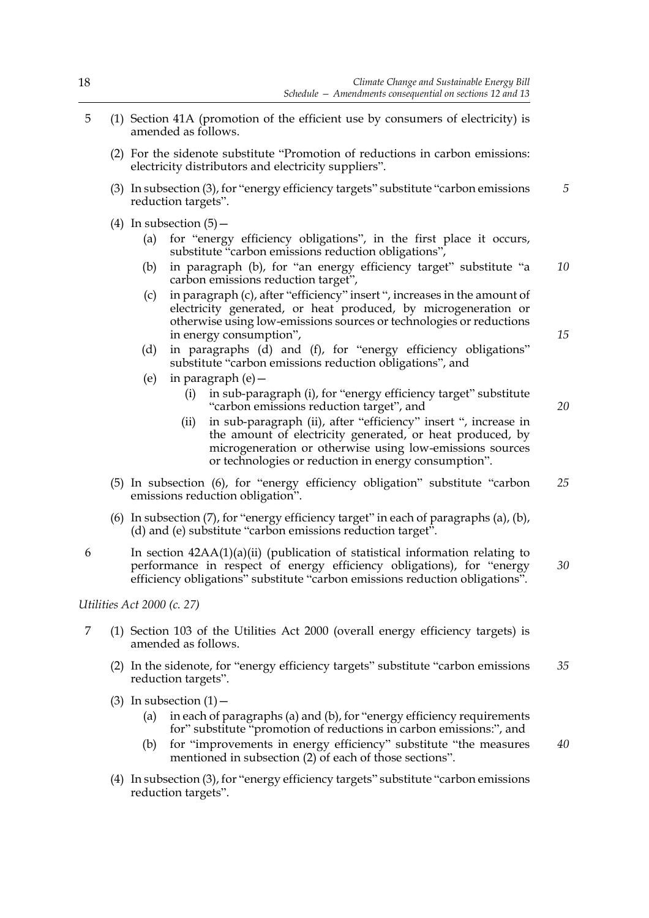- 5 (1) Section 41A (promotion of the efficient use by consumers of electricity) is amended as follows.
	- (2) For the sidenote substitute "Promotion of reductions in carbon emissions: electricity distributors and electricity suppliers".
	- (3) In subsection (3), for "energy efficiency targets" substitute "carbon emissions reduction targets". *5*
	- (4) In subsection  $(5)$  -
		- (a) for "energy efficiency obligations", in the first place it occurs, substitute "carbon emissions reduction obligations",
		- (b) in paragraph (b), for "an energy efficiency target" substitute "a carbon emissions reduction target", *10*
		- (c) in paragraph (c), after "efficiency" insert ", increases in the amount of electricity generated, or heat produced, by microgeneration or otherwise using low-emissions sources or technologies or reductions in energy consumption",
		- (d) in paragraphs (d) and (f), for "energy efficiency obligations" substitute "carbon emissions reduction obligations", and
		- (e) in paragraph (e)—
			- (i) in sub-paragraph (i), for "energy efficiency target" substitute "carbon emissions reduction target", and
			- (ii) in sub-paragraph (ii), after "efficiency" insert ", increase in the amount of electricity generated, or heat produced, by microgeneration or otherwise using low-emissions sources or technologies or reduction in energy consumption".
	- (5) In subsection (6), for "energy efficiency obligation" substitute "carbon emissions reduction obligation". *25*
	- (6) In subsection (7), for "energy efficiency target" in each of paragraphs (a), (b), (d) and (e) substitute "carbon emissions reduction target".
- 6 In section  $42AA(1)(a)(ii)$  (publication of statistical information relating to performance in respect of energy efficiency obligations), for "energy efficiency obligations" substitute "carbon emissions reduction obligations". *30*

*Utilities Act 2000 (c. 27)*

- 7 (1) Section 103 of the Utilities Act 2000 (overall energy efficiency targets) is amended as follows.
	- (2) In the sidenote, for "energy efficiency targets" substitute "carbon emissions reduction targets". *35*
	- (3) In subsection  $(1)$  -
		- (a) in each of paragraphs (a) and (b), for "energy efficiency requirements for" substitute "promotion of reductions in carbon emissions:", and
		- (b) for "improvements in energy efficiency" substitute "the measures mentioned in subsection (2) of each of those sections". *40*
	- (4) In subsection (3), for "energy efficiency targets" substitute "carbon emissions reduction targets".

*15*